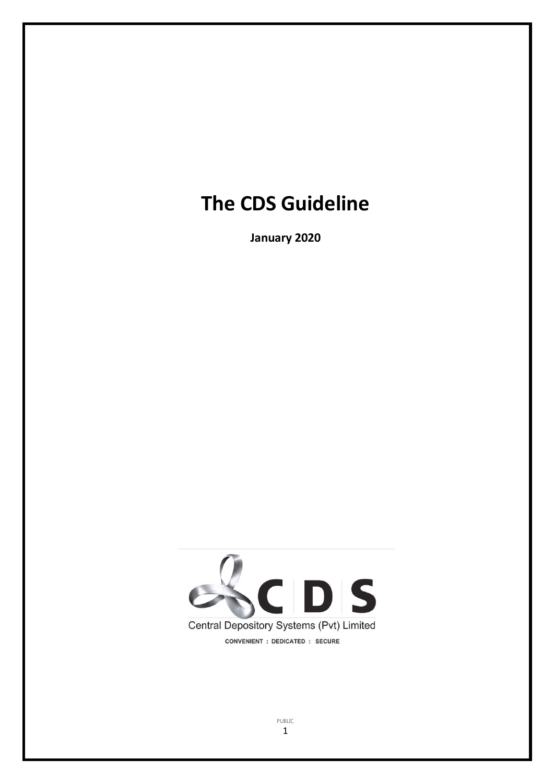# **The CDS Guideline**

**January 2020**



PUBLIC 1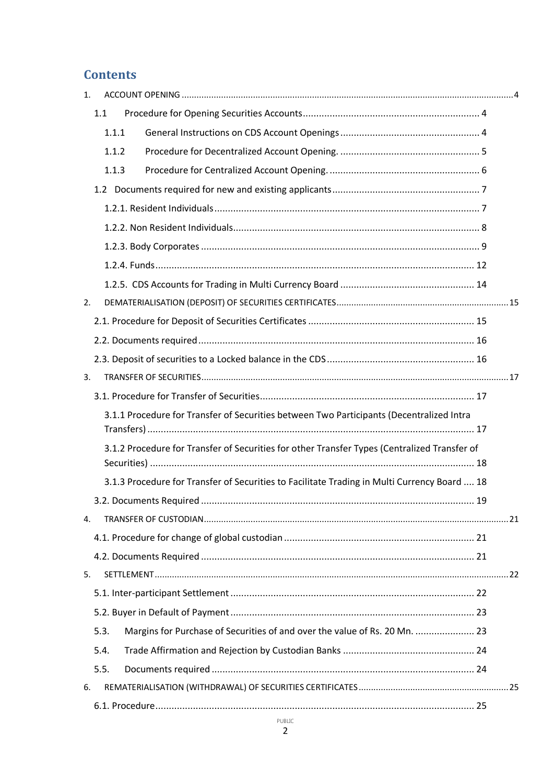# **Contents**

| 1. |      |                                                                                              |                                                                                              |  |  |
|----|------|----------------------------------------------------------------------------------------------|----------------------------------------------------------------------------------------------|--|--|
|    | 1.1  |                                                                                              |                                                                                              |  |  |
|    |      | 1.1.1                                                                                        |                                                                                              |  |  |
|    |      | 1.1.2                                                                                        |                                                                                              |  |  |
|    |      | 1.1.3                                                                                        |                                                                                              |  |  |
|    |      |                                                                                              |                                                                                              |  |  |
|    |      |                                                                                              |                                                                                              |  |  |
|    |      |                                                                                              |                                                                                              |  |  |
|    |      |                                                                                              |                                                                                              |  |  |
|    |      |                                                                                              |                                                                                              |  |  |
|    |      |                                                                                              |                                                                                              |  |  |
| 2. |      |                                                                                              |                                                                                              |  |  |
|    |      |                                                                                              |                                                                                              |  |  |
|    |      |                                                                                              |                                                                                              |  |  |
|    |      |                                                                                              |                                                                                              |  |  |
| 3. |      |                                                                                              |                                                                                              |  |  |
|    |      |                                                                                              |                                                                                              |  |  |
|    |      |                                                                                              | 3.1.1 Procedure for Transfer of Securities between Two Participants (Decentralized Intra     |  |  |
|    |      | 3.1.2 Procedure for Transfer of Securities for other Transfer Types (Centralized Transfer of |                                                                                              |  |  |
|    |      |                                                                                              | 3.1.3 Procedure for Transfer of Securities to Facilitate Trading in Multi Currency Board  18 |  |  |
|    |      |                                                                                              |                                                                                              |  |  |
| 4. |      |                                                                                              |                                                                                              |  |  |
|    |      |                                                                                              |                                                                                              |  |  |
|    |      |                                                                                              |                                                                                              |  |  |
| 5. |      |                                                                                              |                                                                                              |  |  |
|    |      |                                                                                              |                                                                                              |  |  |
|    |      |                                                                                              |                                                                                              |  |  |
|    | 5.3. |                                                                                              | Margins for Purchase of Securities of and over the value of Rs. 20 Mn.  23                   |  |  |
|    | 5.4. |                                                                                              |                                                                                              |  |  |
|    | 5.5. |                                                                                              |                                                                                              |  |  |
| 6. |      |                                                                                              |                                                                                              |  |  |
|    |      |                                                                                              |                                                                                              |  |  |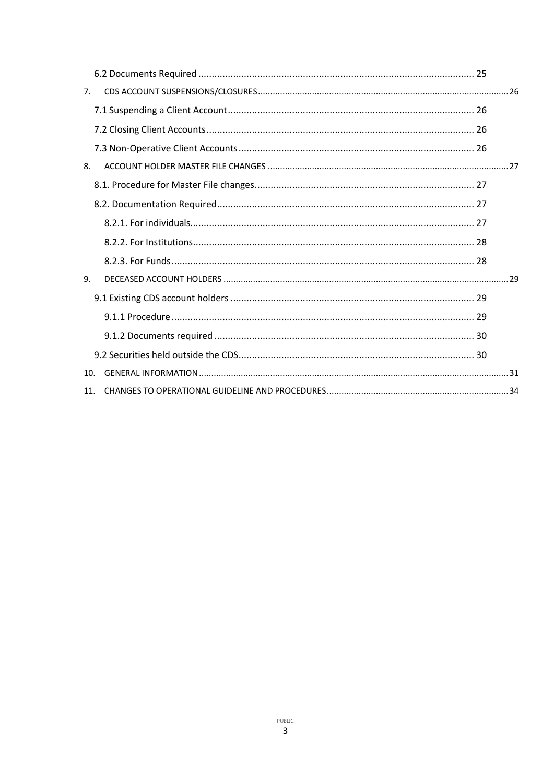| 7. |     |  |  |  |
|----|-----|--|--|--|
|    |     |  |  |  |
|    |     |  |  |  |
|    |     |  |  |  |
|    |     |  |  |  |
|    |     |  |  |  |
|    |     |  |  |  |
|    |     |  |  |  |
|    |     |  |  |  |
|    |     |  |  |  |
|    | 9.  |  |  |  |
|    |     |  |  |  |
|    |     |  |  |  |
|    |     |  |  |  |
|    |     |  |  |  |
|    | 10. |  |  |  |
|    | 11. |  |  |  |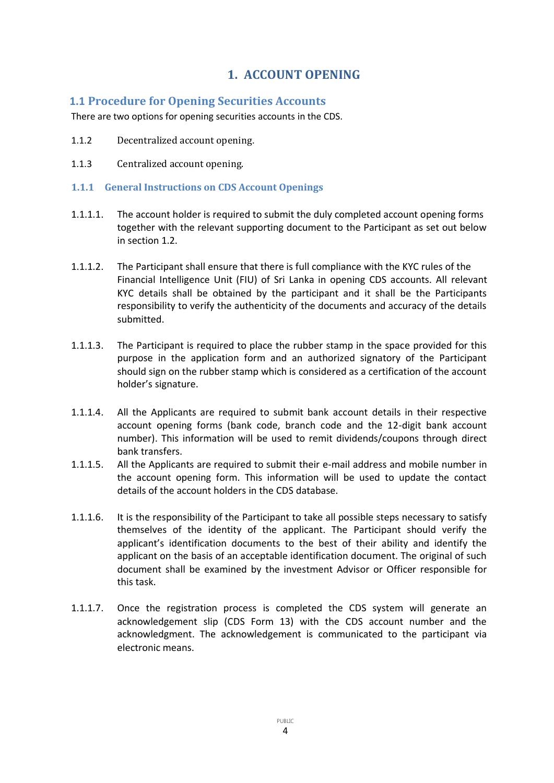# <span id="page-3-0"></span>**1. ACCOUNT OPENING**

### <span id="page-3-1"></span>**1.1 Procedure for Opening Securities Accounts**

There are two options for opening securities accounts in the CDS.

- 1.1.2 Decentralized account opening.
- 1.1.3 Centralized account opening.

#### <span id="page-3-2"></span>**1.1.1 General Instructions on CDS Account Openings**

- 1.1.1.1. The account holder is required to submit the duly completed account opening forms together with the relevant supporting document to the Participant as set out below in section 1.2.
- 1.1.1.2. The Participant shall ensure that there is full compliance with the KYC rules of the Financial Intelligence Unit (FIU) of Sri Lanka in opening CDS accounts. All relevant KYC details shall be obtained by the participant and it shall be the Participants responsibility to verify the authenticity of the documents and accuracy of the details submitted.
- 1.1.1.3. The Participant is required to place the rubber stamp in the space provided for this purpose in the application form and an authorized signatory of the Participant should sign on the rubber stamp which is considered as a certification of the account holder's signature.
- 1.1.1.4. All the Applicants are required to submit bank account details in their respective account opening forms (bank code, branch code and the 12-digit bank account number). This information will be used to remit dividends/coupons through direct bank transfers.
- 1.1.1.5. All the Applicants are required to submit their e-mail address and mobile number in the account opening form. This information will be used to update the contact details of the account holders in the CDS database.
- 1.1.1.6. It is the responsibility of the Participant to take all possible steps necessary to satisfy themselves of the identity of the applicant. The Participant should verify the applicant's identification documents to the best of their ability and identify the applicant on the basis of an acceptable identification document. The original of such document shall be examined by the investment Advisor or Officer responsible for this task.
- 1.1.1.7. Once the registration process is completed the CDS system will generate an acknowledgement slip (CDS Form 13) with the CDS account number and the acknowledgment. The acknowledgement is communicated to the participant via electronic means.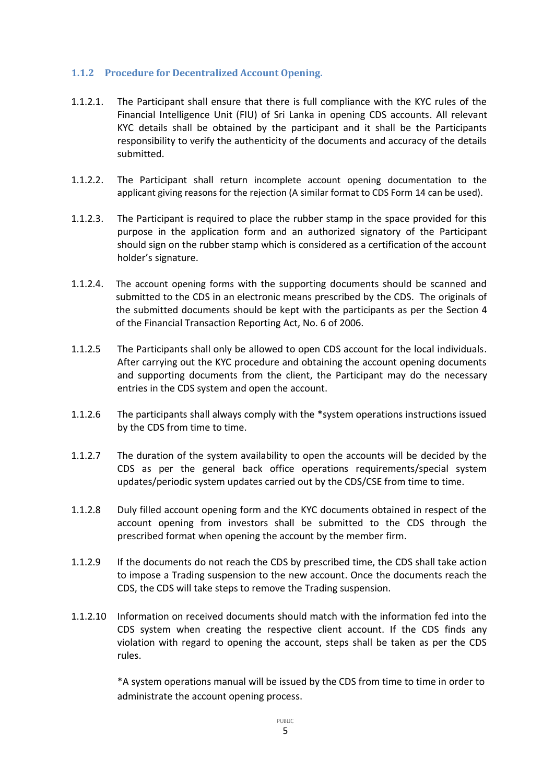### <span id="page-4-0"></span>**1.1.2 Procedure for Decentralized Account Opening.**

- 1.1.2.1. The Participant shall ensure that there is full compliance with the KYC rules of the Financial Intelligence Unit (FIU) of Sri Lanka in opening CDS accounts. All relevant KYC details shall be obtained by the participant and it shall be the Participants responsibility to verify the authenticity of the documents and accuracy of the details submitted.
- 1.1.2.2. The Participant shall return incomplete account opening documentation to the applicant giving reasons for the rejection (A similar format to CDS Form 14 can be used).
- 1.1.2.3. The Participant is required to place the rubber stamp in the space provided for this purpose in the application form and an authorized signatory of the Participant should sign on the rubber stamp which is considered as a certification of the account holder's signature.
- 1.1.2.4. The account opening forms with the supporting documents should be scanned and submitted to the CDS in an electronic means prescribed by the CDS. The originals of the submitted documents should be kept with the participants as per the Section 4 of the Financial Transaction Reporting Act, No. 6 of 2006.
- 1.1.2.5 The Participants shall only be allowed to open CDS account for the local individuals. After carrying out the KYC procedure and obtaining the account opening documents and supporting documents from the client, the Participant may do the necessary entries in the CDS system and open the account.
- 1.1.2.6 The participants shall always comply with the \*system operations instructions issued by the CDS from time to time.
- 1.1.2.7 The duration of the system availability to open the accounts will be decided by the CDS as per the general back office operations requirements/special system updates/periodic system updates carried out by the CDS/CSE from time to time.
- 1.1.2.8 Duly filled account opening form and the KYC documents obtained in respect of the account opening from investors shall be submitted to the CDS through the prescribed format when opening the account by the member firm.
- 1.1.2.9 If the documents do not reach the CDS by prescribed time, the CDS shall take action to impose a Trading suspension to the new account. Once the documents reach the CDS, the CDS will take steps to remove the Trading suspension.
- 1.1.2.10 Information on received documents should match with the information fed into the CDS system when creating the respective client account. If the CDS finds any violation with regard to opening the account, steps shall be taken as per the CDS rules.

\*A system operations manual will be issued by the CDS from time to time in order to administrate the account opening process.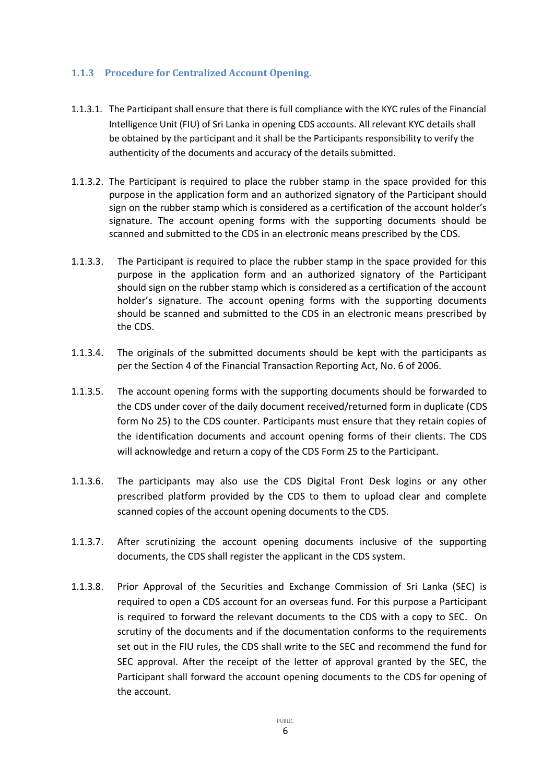### <span id="page-5-0"></span>**1.1.3 Procedure for Centralized Account Opening.**

- 1.1.3.1. The Participant shall ensure that there is full compliance with the KYC rules of the Financial Intelligence Unit (FIU) of Sri Lanka in opening CDS accounts. All relevant KYC details shall be obtained by the participant and it shall be the Participants responsibility to verify the authenticity of the documents and accuracy of the details submitted.
- 1.1.3.2. The Participant is required to place the rubber stamp in the space provided for this purpose in the application form and an authorized signatory of the Participant should sign on the rubber stamp which is considered as a certification of the account holder's signature. The account opening forms with the supporting documents should be scanned and submitted to the CDS in an electronic means prescribed by the CDS.
- 1.1.3.3. The Participant is required to place the rubber stamp in the space provided for this purpose in the application form and an authorized signatory of the Participant should sign on the rubber stamp which is considered as a certification of the account holder's signature. The account opening forms with the supporting documents should be scanned and submitted to the CDS in an electronic means prescribed by the CDS.
- 1.1.3.4. The originals of the submitted documents should be kept with the participants as per the Section 4 of the Financial Transaction Reporting Act, No. 6 of 2006.
- 1.1.3.5. The account opening forms with the supporting documents should be forwarded to the CDS under cover of the daily document received/returned form in duplicate (CDS form No 25) to the CDS counter. Participants must ensure that they retain copies of the identification documents and account opening forms of their clients. The CDS will acknowledge and return a copy of the CDS Form 25 to the Participant.
- 1.1.3.6. The participants may also use the CDS Digital Front Desk logins or any other prescribed platform provided by the CDS to them to upload clear and complete scanned copies of the account opening documents to the CDS.
- 1.1.3.7. After scrutinizing the account opening documents inclusive of the supporting documents, the CDS shall register the applicant in the CDS system.
- 1.1.3.8. Prior Approval of the Securities and Exchange Commission of Sri Lanka (SEC) is required to open a CDS account for an overseas fund. For this purpose a Participant is required to forward the relevant documents to the CDS with a copy to SEC. On scrutiny of the documents and if the documentation conforms to the requirements set out in the FIU rules, the CDS shall write to the SEC and recommend the fund for SEC approval. After the receipt of the letter of approval granted by the SEC, the Participant shall forward the account opening documents to the CDS for opening of the account.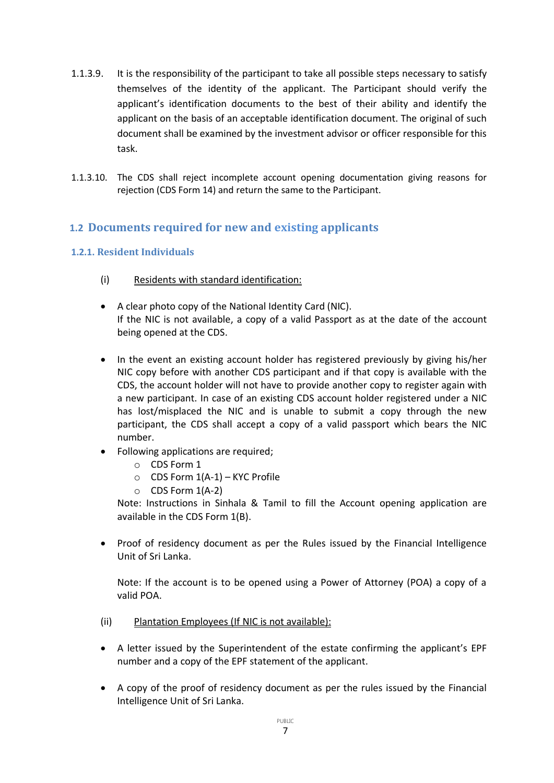- 1.1.3.9. It is the responsibility of the participant to take all possible steps necessary to satisfy themselves of the identity of the applicant. The Participant should verify the applicant's identification documents to the best of their ability and identify the applicant on the basis of an acceptable identification document. The original of such document shall be examined by the investment advisor or officer responsible for this task.
- 1.1.3.10. The CDS shall reject incomplete account opening documentation giving reasons for rejection (CDS Form 14) and return the same to the Participant.

### <span id="page-6-0"></span>**1.2 Documents required for new and existing applicants**

### <span id="page-6-1"></span>**1.2.1. Resident Individuals**

- (i) Residents with standard identification:
- A clear photo copy of the National Identity Card (NIC). If the NIC is not available, a copy of a valid Passport as at the date of the account being opened at the CDS.
- In the event an existing account holder has registered previously by giving his/her NIC copy before with another CDS participant and if that copy is available with the CDS, the account holder will not have to provide another copy to register again with a new participant. In case of an existing CDS account holder registered under a NIC has lost/misplaced the NIC and is unable to submit a copy through the new participant, the CDS shall accept a copy of a valid passport which bears the NIC number.
- Following applications are required;
	- o CDS Form 1
	- o CDS Form 1(A-1) KYC Profile
	- $O$  CDS Form  $1(A-2)$

Note: Instructions in Sinhala & Tamil to fill the Account opening application are available in the CDS Form 1(B).

• Proof of residency document as per the Rules issued by the Financial Intelligence Unit of Sri Lanka.

Note: If the account is to be opened using a Power of Attorney (POA) a copy of a valid POA.

- (ii) Plantation Employees (If NIC is not available):
- A letter issued by the Superintendent of the estate confirming the applicant's EPF number and a copy of the EPF statement of the applicant.
- A copy of the proof of residency document as per the rules issued by the Financial Intelligence Unit of Sri Lanka.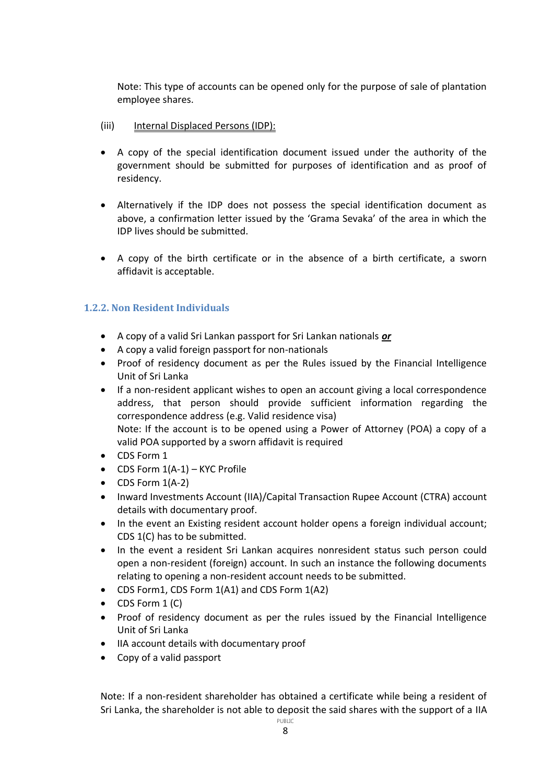Note: This type of accounts can be opened only for the purpose of sale of plantation employee shares.

- (iii) Internal Displaced Persons (IDP):
- A copy of the special identification document issued under the authority of the government should be submitted for purposes of identification and as proof of residency.
- Alternatively if the IDP does not possess the special identification document as above, a confirmation letter issued by the 'Grama Sevaka' of the area in which the IDP lives should be submitted.
- A copy of the birth certificate or in the absence of a birth certificate, a sworn affidavit is acceptable.

### <span id="page-7-0"></span>**1.2.2. Non Resident Individuals**

- A copy of a valid Sri Lankan passport for Sri Lankan nationals *or*
- A copy a valid foreign passport for non-nationals
- Proof of residency document as per the Rules issued by the Financial Intelligence Unit of Sri Lanka
- If a non-resident applicant wishes to open an account giving a local correspondence address, that person should provide sufficient information regarding the correspondence address (e.g. Valid residence visa) Note: If the account is to be opened using a Power of Attorney (POA) a copy of a valid POA supported by a sworn affidavit is required
- CDS Form 1
- $\bullet$  CDS Form  $1(A-1)$  KYC Profile
- $\bullet$  CDS Form  $1(A-2)$
- Inward Investments Account (IIA)/Capital Transaction Rupee Account (CTRA) account details with documentary proof.
- In the event an Existing resident account holder opens a foreign individual account; CDS 1(C) has to be submitted.
- In the event a resident Sri Lankan acquires nonresident status such person could open a non-resident (foreign) account. In such an instance the following documents relating to opening a non-resident account needs to be submitted.
- CDS Form1, CDS Form 1(A1) and CDS Form 1(A2)
- $\bullet$  CDS Form 1 (C)
- Proof of residency document as per the rules issued by the Financial Intelligence Unit of Sri Lanka
- IIA account details with documentary proof
- Copy of a valid passport

PUBLIC Note: If a non-resident shareholder has obtained a certificate while being a resident of Sri Lanka, the shareholder is not able to deposit the said shares with the support of a IIA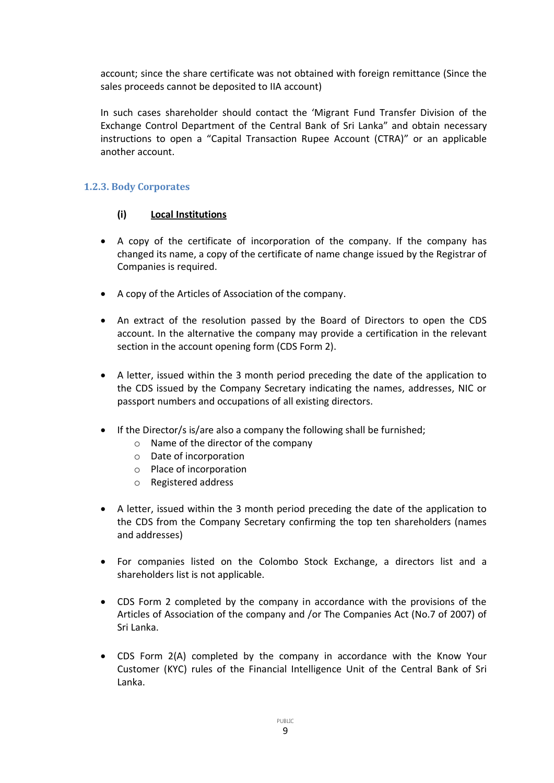account; since the share certificate was not obtained with foreign remittance (Since the sales proceeds cannot be deposited to IIA account)

In such cases shareholder should contact the 'Migrant Fund Transfer Division of the Exchange Control Department of the Central Bank of Sri Lanka" and obtain necessary instructions to open a "Capital Transaction Rupee Account (CTRA)" or an applicable another account.

### <span id="page-8-0"></span>**1.2.3. Body Corporates**

### **(i) Local Institutions**

- A copy of the certificate of incorporation of the company. If the company has changed its name, a copy of the certificate of name change issued by the Registrar of Companies is required.
- A copy of the Articles of Association of the company.
- An extract of the resolution passed by the Board of Directors to open the CDS account. In the alternative the company may provide a certification in the relevant section in the account opening form (CDS Form 2).
- A letter, issued within the 3 month period preceding the date of the application to the CDS issued by the Company Secretary indicating the names, addresses, NIC or passport numbers and occupations of all existing directors.
- If the Director/s is/are also a company the following shall be furnished;
	- o Name of the director of the company
	- o Date of incorporation
	- o Place of incorporation
	- o Registered address
- A letter, issued within the 3 month period preceding the date of the application to the CDS from the Company Secretary confirming the top ten shareholders (names and addresses)
- For companies listed on the Colombo Stock Exchange, a directors list and a shareholders list is not applicable.
- CDS Form 2 completed by the company in accordance with the provisions of the Articles of Association of the company and /or The Companies Act (No.7 of 2007) of Sri Lanka.
- CDS Form 2(A) completed by the company in accordance with the Know Your Customer (KYC) rules of the Financial Intelligence Unit of the Central Bank of Sri Lanka.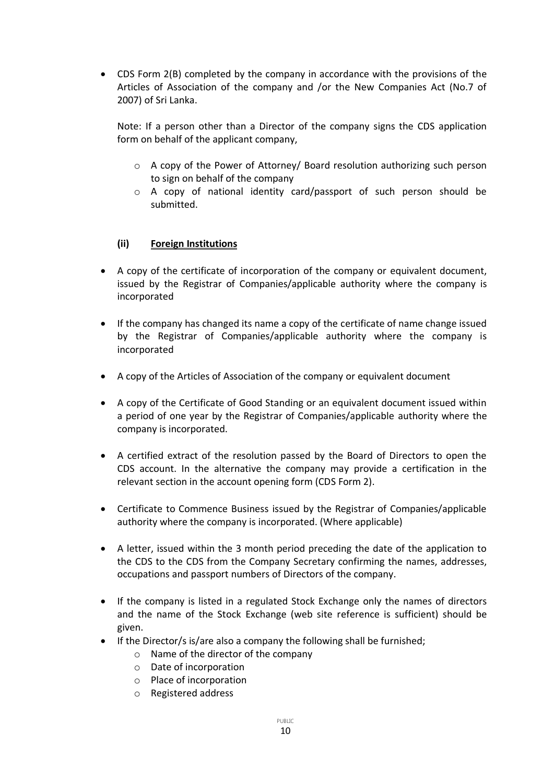CDS Form 2(B) completed by the company in accordance with the provisions of the Articles of Association of the company and /or the New Companies Act (No.7 of 2007) of Sri Lanka.

Note: If a person other than a Director of the company signs the CDS application form on behalf of the applicant company,

- o A copy of the Power of Attorney/ Board resolution authorizing such person to sign on behalf of the company
- o A copy of national identity card/passport of such person should be submitted.

### **(ii) Foreign Institutions**

- A copy of the certificate of incorporation of the company or equivalent document, issued by the Registrar of Companies/applicable authority where the company is incorporated
- If the company has changed its name a copy of the certificate of name change issued by the Registrar of Companies/applicable authority where the company is incorporated
- A copy of the Articles of Association of the company or equivalent document
- A copy of the Certificate of Good Standing or an equivalent document issued within a period of one year by the Registrar of Companies/applicable authority where the company is incorporated.
- A certified extract of the resolution passed by the Board of Directors to open the CDS account. In the alternative the company may provide a certification in the relevant section in the account opening form (CDS Form 2).
- Certificate to Commence Business issued by the Registrar of Companies/applicable authority where the company is incorporated. (Where applicable)
- A letter, issued within the 3 month period preceding the date of the application to the CDS to the CDS from the Company Secretary confirming the names, addresses, occupations and passport numbers of Directors of the company.
- If the company is listed in a regulated Stock Exchange only the names of directors and the name of the Stock Exchange (web site reference is sufficient) should be given.
- If the Director/s is/are also a company the following shall be furnished;
	- o Name of the director of the company
	- o Date of incorporation
	- o Place of incorporation
	- o Registered address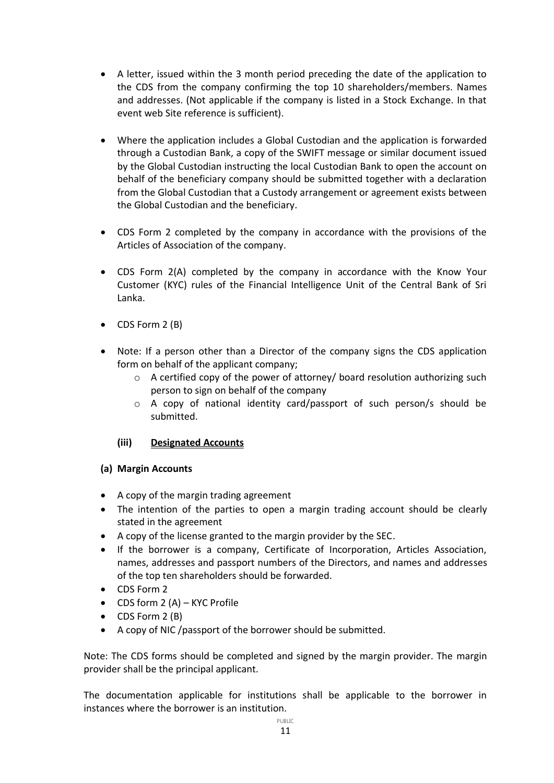- A letter, issued within the 3 month period preceding the date of the application to the CDS from the company confirming the top 10 shareholders/members. Names and addresses. (Not applicable if the company is listed in a Stock Exchange. In that event web Site reference is sufficient).
- Where the application includes a Global Custodian and the application is forwarded through a Custodian Bank, a copy of the SWIFT message or similar document issued by the Global Custodian instructing the local Custodian Bank to open the account on behalf of the beneficiary company should be submitted together with a declaration from the Global Custodian that a Custody arrangement or agreement exists between the Global Custodian and the beneficiary.
- CDS Form 2 completed by the company in accordance with the provisions of the Articles of Association of the company.
- CDS Form 2(A) completed by the company in accordance with the Know Your Customer (KYC) rules of the Financial Intelligence Unit of the Central Bank of Sri Lanka.
- CDS Form 2 (B)
- Note: If a person other than a Director of the company signs the CDS application form on behalf of the applicant company;
	- $\circ$  A certified copy of the power of attorney/ board resolution authorizing such person to sign on behalf of the company
	- $\circ$  A copy of national identity card/passport of such person/s should be submitted.

### **(iii) Designated Accounts**

### **(a) Margin Accounts**

- A copy of the margin trading agreement
- The intention of the parties to open a margin trading account should be clearly stated in the agreement
- A copy of the license granted to the margin provider by the SEC.
- If the borrower is a company, Certificate of Incorporation, Articles Association, names, addresses and passport numbers of the Directors, and names and addresses of the top ten shareholders should be forwarded.
- CDS Form 2
- $\bullet$  CDS form 2 (A) KYC Profile
- CDS Form 2 (B)
- A copy of NIC /passport of the borrower should be submitted.

Note: The CDS forms should be completed and signed by the margin provider. The margin provider shall be the principal applicant.

The documentation applicable for institutions shall be applicable to the borrower in instances where the borrower is an institution.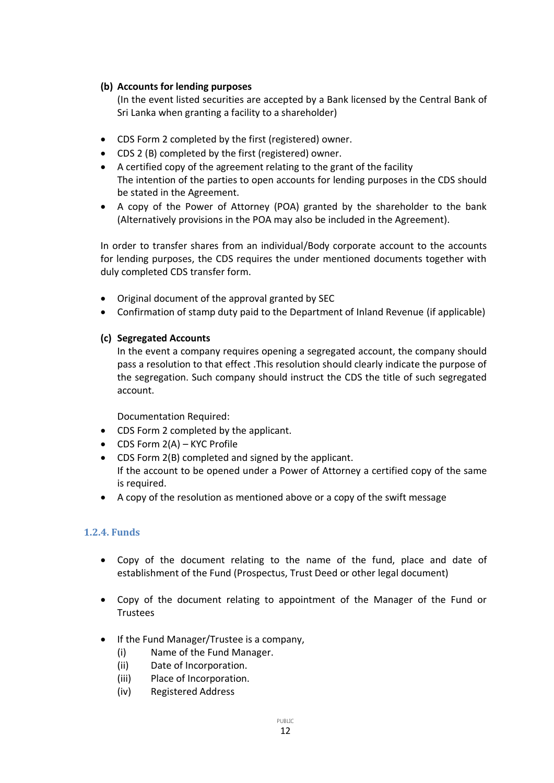### **(b) Accounts for lending purposes**

(In the event listed securities are accepted by a Bank licensed by the Central Bank of Sri Lanka when granting a facility to a shareholder)

- CDS Form 2 completed by the first (registered) owner.
- CDS 2 (B) completed by the first (registered) owner.
- A certified copy of the agreement relating to the grant of the facility The intention of the parties to open accounts for lending purposes in the CDS should be stated in the Agreement.
- A copy of the Power of Attorney (POA) granted by the shareholder to the bank (Alternatively provisions in the POA may also be included in the Agreement).

In order to transfer shares from an individual/Body corporate account to the accounts for lending purposes, the CDS requires the under mentioned documents together with duly completed CDS transfer form.

- Original document of the approval granted by SEC
- Confirmation of stamp duty paid to the Department of Inland Revenue (if applicable)

### **(c) Segregated Accounts**

In the event a company requires opening a segregated account, the company should pass a resolution to that effect .This resolution should clearly indicate the purpose of the segregation. Such company should instruct the CDS the title of such segregated account.

Documentation Required:

- CDS Form 2 completed by the applicant.
- CDS Form 2(A) KYC Profile
- CDS Form 2(B) completed and signed by the applicant. If the account to be opened under a Power of Attorney a certified copy of the same is required.
- A copy of the resolution as mentioned above or a copy of the swift message

### <span id="page-11-0"></span>**1.2.4. Funds**

- Copy of the document relating to the name of the fund, place and date of establishment of the Fund (Prospectus, Trust Deed or other legal document)
- Copy of the document relating to appointment of the Manager of the Fund or Trustees
- If the Fund Manager/Trustee is a company,
	- (i) Name of the Fund Manager.
	- (ii) Date of Incorporation.
	- (iii) Place of Incorporation.
	- (iv) Registered Address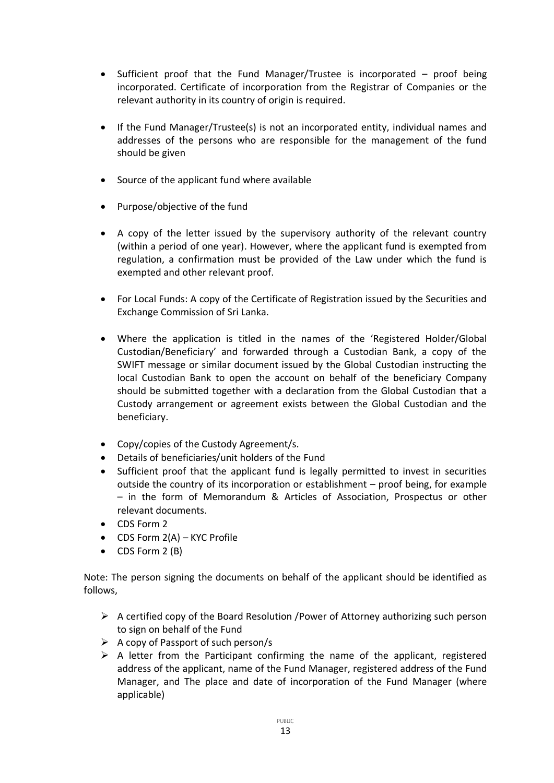- Sufficient proof that the Fund Manager/Trustee is incorporated proof being incorporated. Certificate of incorporation from the Registrar of Companies or the relevant authority in its country of origin is required.
- If the Fund Manager/Trustee(s) is not an incorporated entity, individual names and addresses of the persons who are responsible for the management of the fund should be given
- Source of the applicant fund where available
- Purpose/objective of the fund
- A copy of the letter issued by the supervisory authority of the relevant country (within a period of one year). However, where the applicant fund is exempted from regulation, a confirmation must be provided of the Law under which the fund is exempted and other relevant proof.
- For Local Funds: A copy of the Certificate of Registration issued by the Securities and Exchange Commission of Sri Lanka.
- Where the application is titled in the names of the 'Registered Holder/Global Custodian/Beneficiary' and forwarded through a Custodian Bank, a copy of the SWIFT message or similar document issued by the Global Custodian instructing the local Custodian Bank to open the account on behalf of the beneficiary Company should be submitted together with a declaration from the Global Custodian that a Custody arrangement or agreement exists between the Global Custodian and the beneficiary.
- Copy/copies of the Custody Agreement/s.
- Details of beneficiaries/unit holders of the Fund
- Sufficient proof that the applicant fund is legally permitted to invest in securities outside the country of its incorporation or establishment – proof being, for example – in the form of Memorandum & Articles of Association, Prospectus or other relevant documents.
- CDS Form 2
- CDS Form 2(A) KYC Profile
- CDS Form 2 (B)

Note: The person signing the documents on behalf of the applicant should be identified as follows,

- $\triangleright$  A certified copy of the Board Resolution /Power of Attorney authorizing such person to sign on behalf of the Fund
- $\triangleright$  A copy of Passport of such person/s
- $\triangleright$  A letter from the Participant confirming the name of the applicant, registered address of the applicant, name of the Fund Manager, registered address of the Fund Manager, and The place and date of incorporation of the Fund Manager (where applicable)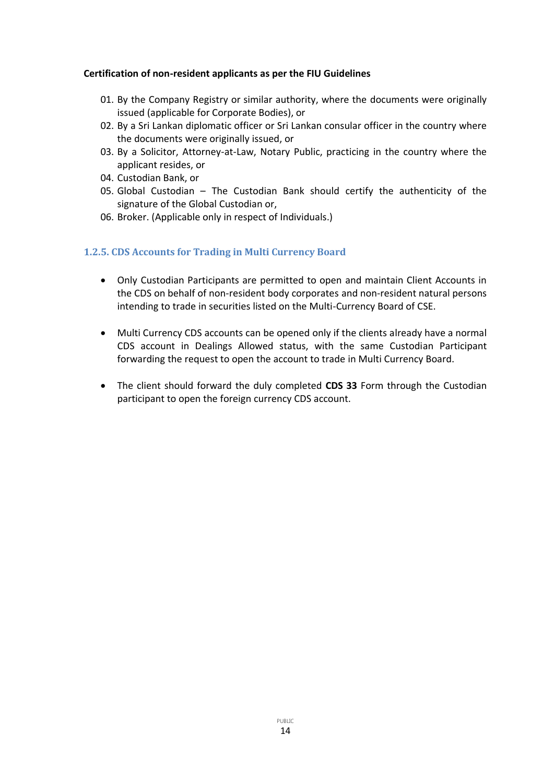#### **Certification of non-resident applicants as per the FIU Guidelines**

- 01. By the Company Registry or similar authority, where the documents were originally issued (applicable for Corporate Bodies), or
- 02. By a Sri Lankan diplomatic officer or Sri Lankan consular officer in the country where the documents were originally issued, or
- 03. By a Solicitor, Attorney-at-Law, Notary Public, practicing in the country where the applicant resides, or
- 04. Custodian Bank, or
- 05. Global Custodian The Custodian Bank should certify the authenticity of the signature of the Global Custodian or,
- 06. Broker. (Applicable only in respect of Individuals.)

#### <span id="page-13-0"></span>**1.2.5. CDS Accounts for Trading in Multi Currency Board**

- Only Custodian Participants are permitted to open and maintain Client Accounts in the CDS on behalf of non-resident body corporates and non-resident natural persons intending to trade in securities listed on the Multi-Currency Board of CSE.
- Multi Currency CDS accounts can be opened only if the clients already have a normal CDS account in Dealings Allowed status, with the same Custodian Participant forwarding the request to open the account to trade in Multi Currency Board.
- The client should forward the duly completed **CDS 33** Form through the Custodian participant to open the foreign currency CDS account.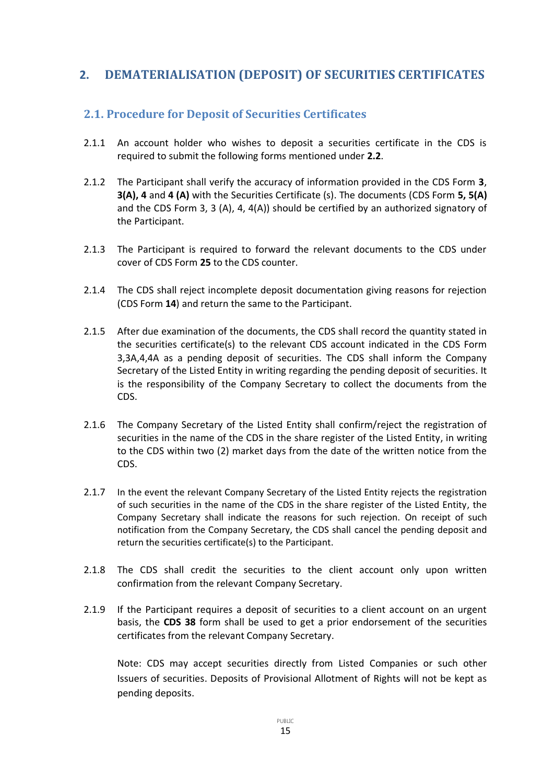# <span id="page-14-0"></span>**2. DEMATERIALISATION (DEPOSIT) OF SECURITIES CERTIFICATES**

# <span id="page-14-1"></span>**2.1. Procedure for Deposit of Securities Certificates**

- 2.1.1 An account holder who wishes to deposit a securities certificate in the CDS is required to submit the following forms mentioned under **2.2**.
- 2.1.2 The Participant shall verify the accuracy of information provided in the CDS Form **3**, **3(A), 4** and **4 (A)** with the Securities Certificate (s). The documents (CDS Form **5, 5(A)** and the CDS Form 3, 3 (A), 4, 4(A)) should be certified by an authorized signatory of the Participant.
- 2.1.3 The Participant is required to forward the relevant documents to the CDS under cover of CDS Form **25** to the CDS counter.
- 2.1.4 The CDS shall reject incomplete deposit documentation giving reasons for rejection (CDS Form **14**) and return the same to the Participant.
- 2.1.5 After due examination of the documents, the CDS shall record the quantity stated in the securities certificate(s) to the relevant CDS account indicated in the CDS Form 3,3A,4,4A as a pending deposit of securities. The CDS shall inform the Company Secretary of the Listed Entity in writing regarding the pending deposit of securities. It is the responsibility of the Company Secretary to collect the documents from the CDS.
- 2.1.6 The Company Secretary of the Listed Entity shall confirm/reject the registration of securities in the name of the CDS in the share register of the Listed Entity, in writing to the CDS within two (2) market days from the date of the written notice from the CDS.
- 2.1.7 In the event the relevant Company Secretary of the Listed Entity rejects the registration of such securities in the name of the CDS in the share register of the Listed Entity, the Company Secretary shall indicate the reasons for such rejection. On receipt of such notification from the Company Secretary, the CDS shall cancel the pending deposit and return the securities certificate(s) to the Participant.
- 2.1.8 The CDS shall credit the securities to the client account only upon written confirmation from the relevant Company Secretary.
- 2.1.9 If the Participant requires a deposit of securities to a client account on an urgent basis, the **CDS 38** form shall be used to get a prior endorsement of the securities certificates from the relevant Company Secretary.

Note: CDS may accept securities directly from Listed Companies or such other Issuers of securities. Deposits of Provisional Allotment of Rights will not be kept as pending deposits.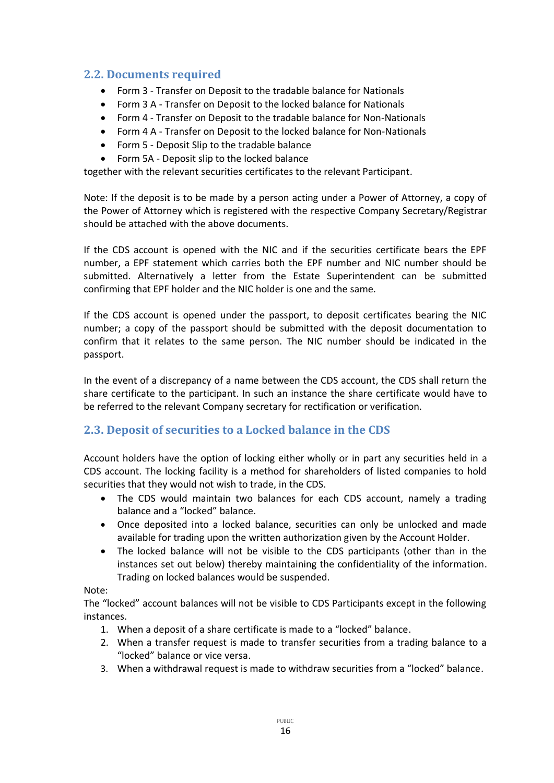# <span id="page-15-0"></span>**2.2. Documents required**

- Form 3 Transfer on Deposit to the tradable balance for Nationals
- Form 3 A Transfer on Deposit to the locked balance for Nationals
- Form 4 Transfer on Deposit to the tradable balance for Non-Nationals
- Form 4 A Transfer on Deposit to the locked balance for Non-Nationals
- Form 5 Deposit Slip to the tradable balance
- Form 5A Deposit slip to the locked balance

together with the relevant securities certificates to the relevant Participant.

Note: If the deposit is to be made by a person acting under a Power of Attorney, a copy of the Power of Attorney which is registered with the respective Company Secretary/Registrar should be attached with the above documents.

If the CDS account is opened with the NIC and if the securities certificate bears the EPF number, a EPF statement which carries both the EPF number and NIC number should be submitted. Alternatively a letter from the Estate Superintendent can be submitted confirming that EPF holder and the NIC holder is one and the same.

If the CDS account is opened under the passport, to deposit certificates bearing the NIC number; a copy of the passport should be submitted with the deposit documentation to confirm that it relates to the same person. The NIC number should be indicated in the passport.

In the event of a discrepancy of a name between the CDS account, the CDS shall return the share certificate to the participant. In such an instance the share certificate would have to be referred to the relevant Company secretary for rectification or verification.

# <span id="page-15-1"></span>**2.3. Deposit of securities to a Locked balance in the CDS**

Account holders have the option of locking either wholly or in part any securities held in a CDS account. The locking facility is a method for shareholders of listed companies to hold securities that they would not wish to trade, in the CDS.

- The CDS would maintain two balances for each CDS account, namely a trading balance and a "locked" balance.
- Once deposited into a locked balance, securities can only be unlocked and made available for trading upon the written authorization given by the Account Holder.
- The locked balance will not be visible to the CDS participants (other than in the instances set out below) thereby maintaining the confidentiality of the information. Trading on locked balances would be suspended.

### Note:

The "locked" account balances will not be visible to CDS Participants except in the following instances.

- 1. When a deposit of a share certificate is made to a "locked" balance.
- 2. When a transfer request is made to transfer securities from a trading balance to a "locked" balance or vice versa.
- 3. When a withdrawal request is made to withdraw securities from a "locked" balance.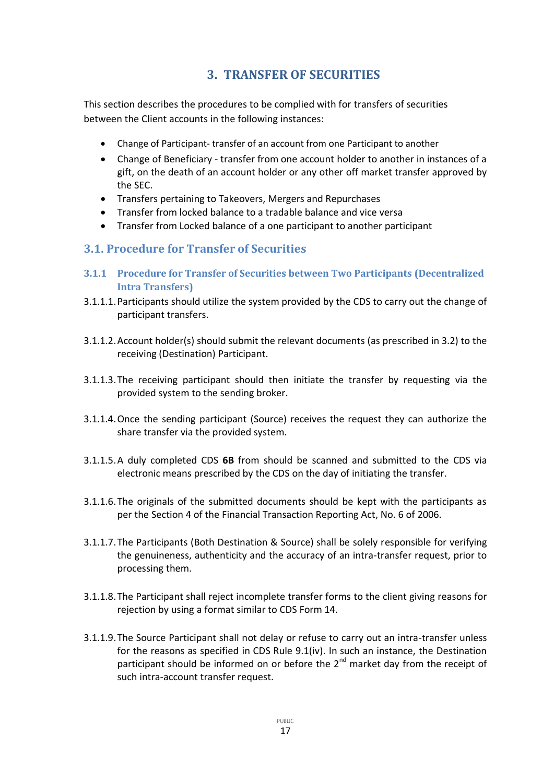# **3. TRANSFER OF SECURITIES**

<span id="page-16-0"></span>This section describes the procedures to be complied with for transfers of securities between the Client accounts in the following instances:

- Change of Participant- transfer of an account from one Participant to another
- Change of Beneficiary transfer from one account holder to another in instances of a gift, on the death of an account holder or any other off market transfer approved by the SEC.
- Transfers pertaining to Takeovers, Mergers and Repurchases
- Transfer from locked balance to a tradable balance and vice versa
- Transfer from Locked balance of a one participant to another participant

# <span id="page-16-1"></span>**3.1. Procedure for Transfer of Securities**

- <span id="page-16-2"></span>**3.1.1 Procedure for Transfer of Securities between Two Participants (Decentralized Intra Transfers)**
- 3.1.1.1.Participants should utilize the system provided by the CDS to carry out the change of participant transfers.
- 3.1.1.2.Account holder(s) should submit the relevant documents (as prescribed in 3.2) to the receiving (Destination) Participant.
- 3.1.1.3.The receiving participant should then initiate the transfer by requesting via the provided system to the sending broker.
- 3.1.1.4.Once the sending participant (Source) receives the request they can authorize the share transfer via the provided system.
- 3.1.1.5.A duly completed CDS **6B** from should be scanned and submitted to the CDS via electronic means prescribed by the CDS on the day of initiating the transfer.
- 3.1.1.6.The originals of the submitted documents should be kept with the participants as per the Section 4 of the Financial Transaction Reporting Act, No. 6 of 2006.
- 3.1.1.7.The Participants (Both Destination & Source) shall be solely responsible for verifying the genuineness, authenticity and the accuracy of an intra-transfer request, prior to processing them.
- 3.1.1.8.The Participant shall reject incomplete transfer forms to the client giving reasons for rejection by using a format similar to CDS Form 14.
- 3.1.1.9.The Source Participant shall not delay or refuse to carry out an intra-transfer unless for the reasons as specified in CDS Rule 9.1(iv). In such an instance, the Destination participant should be informed on or before the  $2<sup>nd</sup>$  market day from the receipt of such intra-account transfer request.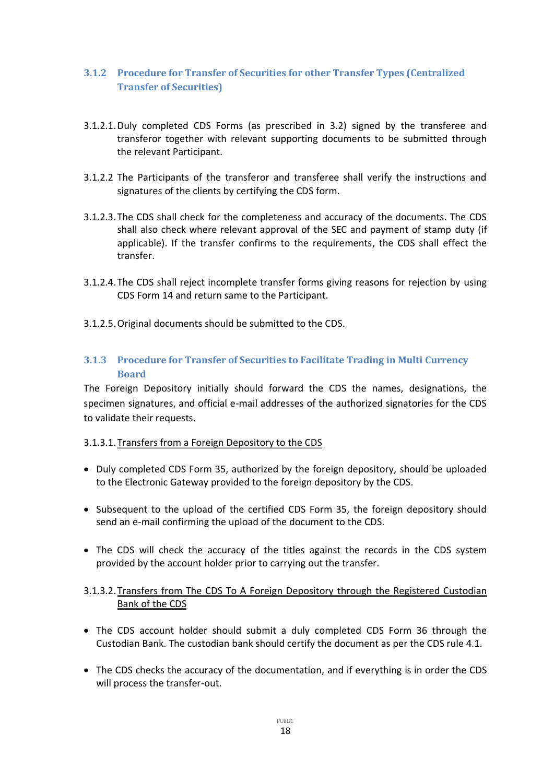### <span id="page-17-0"></span>**3.1.2 Procedure for Transfer of Securities for other Transfer Types (Centralized Transfer of Securities)**

- 3.1.2.1.Duly completed CDS Forms (as prescribed in 3.2) signed by the transferee and transferor together with relevant supporting documents to be submitted through the relevant Participant.
- 3.1.2.2 The Participants of the transferor and transferee shall verify the instructions and signatures of the clients by certifying the CDS form.
- 3.1.2.3.The CDS shall check for the completeness and accuracy of the documents. The CDS shall also check where relevant approval of the SEC and payment of stamp duty (if applicable). If the transfer confirms to the requirements, the CDS shall effect the transfer.
- 3.1.2.4.The CDS shall reject incomplete transfer forms giving reasons for rejection by using CDS Form 14 and return same to the Participant.
- 3.1.2.5.Original documents should be submitted to the CDS.

### <span id="page-17-1"></span>**3.1.3 Procedure for Transfer of Securities to Facilitate Trading in Multi Currency Board**

The Foreign Depository initially should forward the CDS the names, designations, the specimen signatures, and official e-mail addresses of the authorized signatories for the CDS to validate their requests.

### 3.1.3.1.Transfers from a Foreign Depository to the CDS

- Duly completed CDS Form 35, authorized by the foreign depository, should be uploaded to the Electronic Gateway provided to the foreign depository by the CDS.
- Subsequent to the upload of the certified CDS Form 35, the foreign depository should send an e-mail confirming the upload of the document to the CDS.
- The CDS will check the accuracy of the titles against the records in the CDS system provided by the account holder prior to carrying out the transfer.

### 3.1.3.2.Transfers from The CDS To A Foreign Depository through the Registered Custodian Bank of the CDS

- The CDS account holder should submit a duly completed CDS Form 36 through the Custodian Bank. The custodian bank should certify the document as per the CDS rule 4.1.
- The CDS checks the accuracy of the documentation, and if everything is in order the CDS will process the transfer-out.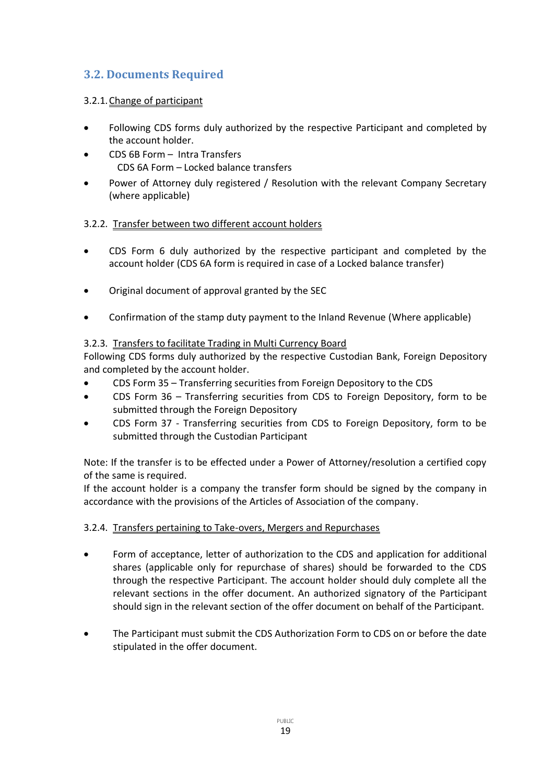# <span id="page-18-0"></span>**3.2. Documents Required**

### 3.2.1.Change of participant

- Following CDS forms duly authorized by the respective Participant and completed by the account holder.
- CDS 6B Form Intra Transfers CDS 6A Form – Locked balance transfers
- Power of Attorney duly registered / Resolution with the relevant Company Secretary (where applicable)

### 3.2.2. Transfer between two different account holders

- CDS Form 6 duly authorized by the respective participant and completed by the account holder (CDS 6A form is required in case of a Locked balance transfer)
- Original document of approval granted by the SEC
- Confirmation of the stamp duty payment to the Inland Revenue (Where applicable)

### 3.2.3. Transfers to facilitate Trading in Multi Currency Board

Following CDS forms duly authorized by the respective Custodian Bank, Foreign Depository and completed by the account holder.

- CDS Form 35 Transferring securities from Foreign Depository to the CDS
- CDS Form 36 Transferring securities from CDS to Foreign Depository, form to be submitted through the Foreign Depository
- CDS Form 37 Transferring securities from CDS to Foreign Depository, form to be submitted through the Custodian Participant

Note: If the transfer is to be effected under a Power of Attorney/resolution a certified copy of the same is required.

If the account holder is a company the transfer form should be signed by the company in accordance with the provisions of the Articles of Association of the company.

### 3.2.4. Transfers pertaining to Take-overs, Mergers and Repurchases

- Form of acceptance, letter of authorization to the CDS and application for additional shares (applicable only for repurchase of shares) should be forwarded to the CDS through the respective Participant. The account holder should duly complete all the relevant sections in the offer document. An authorized signatory of the Participant should sign in the relevant section of the offer document on behalf of the Participant.
- The Participant must submit the CDS Authorization Form to CDS on or before the date stipulated in the offer document.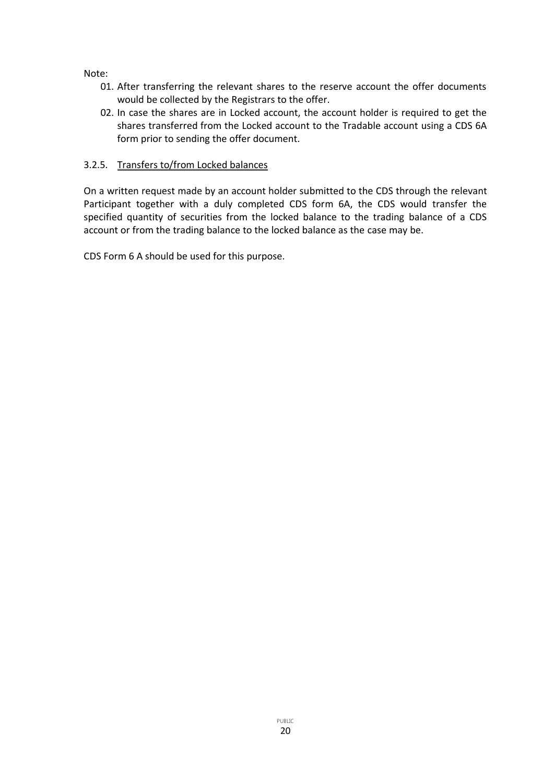Note:

- 01. After transferring the relevant shares to the reserve account the offer documents would be collected by the Registrars to the offer.
- 02. In case the shares are in Locked account, the account holder is required to get the shares transferred from the Locked account to the Tradable account using a CDS 6A form prior to sending the offer document.

### 3.2.5. Transfers to/from Locked balances

On a written request made by an account holder submitted to the CDS through the relevant Participant together with a duly completed CDS form 6A, the CDS would transfer the specified quantity of securities from the locked balance to the trading balance of a CDS account or from the trading balance to the locked balance as the case may be.

CDS Form 6 A should be used for this purpose.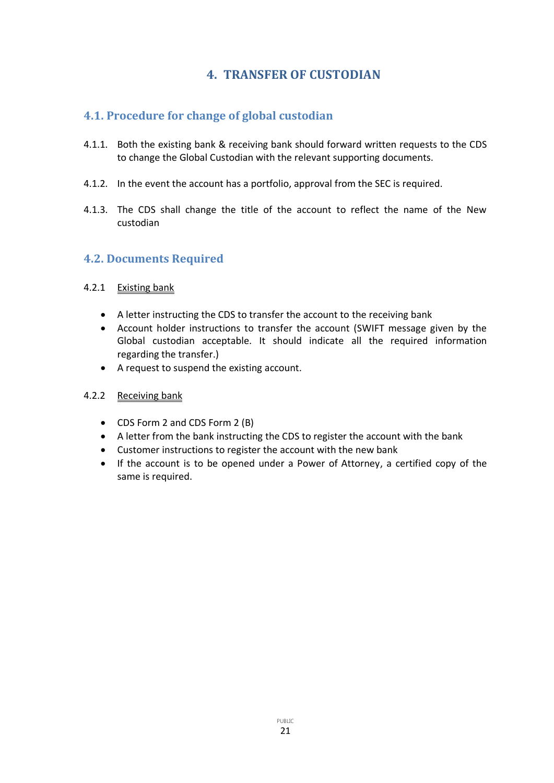# **4. TRANSFER OF CUSTODIAN**

# <span id="page-20-1"></span><span id="page-20-0"></span>**4.1. Procedure for change of global custodian**

- 4.1.1. Both the existing bank & receiving bank should forward written requests to the CDS to change the Global Custodian with the relevant supporting documents.
- 4.1.2. In the event the account has a portfolio, approval from the SEC is required.
- 4.1.3. The CDS shall change the title of the account to reflect the name of the New custodian

# <span id="page-20-2"></span>**4.2. Documents Required**

### 4.2.1 Existing bank

- A letter instructing the CDS to transfer the account to the receiving bank
- Account holder instructions to transfer the account (SWIFT message given by the Global custodian acceptable. It should indicate all the required information regarding the transfer.)
- A request to suspend the existing account.

### 4.2.2 Receiving bank

- CDS Form 2 and CDS Form 2 (B)
- A letter from the bank instructing the CDS to register the account with the bank
- Customer instructions to register the account with the new bank
- If the account is to be opened under a Power of Attorney, a certified copy of the same is required.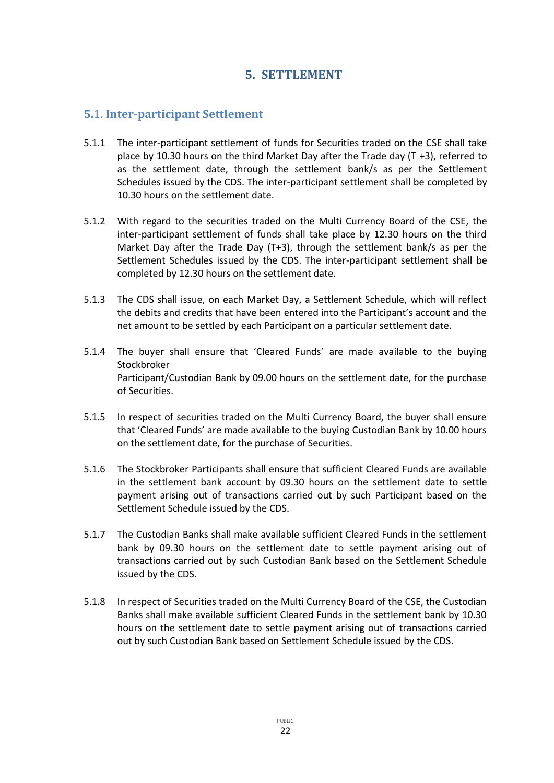# **5. SETTLEMENT**

# <span id="page-21-1"></span><span id="page-21-0"></span>**5.**1. **Inter-participant Settlement**

- 5.1.1 The inter-participant settlement of funds for Securities traded on the CSE shall take place by 10.30 hours on the third Market Day after the Trade day (T +3), referred to as the settlement date, through the settlement bank/s as per the Settlement Schedules issued by the CDS. The inter-participant settlement shall be completed by 10.30 hours on the settlement date.
- 5.1.2 With regard to the securities traded on the Multi Currency Board of the CSE, the inter-participant settlement of funds shall take place by 12.30 hours on the third Market Day after the Trade Day  $(T+3)$ , through the settlement bank/s as per the Settlement Schedules issued by the CDS. The inter-participant settlement shall be completed by 12.30 hours on the settlement date.
- 5.1.3 The CDS shall issue, on each Market Day, a Settlement Schedule, which will reflect the debits and credits that have been entered into the Participant's account and the net amount to be settled by each Participant on a particular settlement date.
- 5.1.4 The buyer shall ensure that 'Cleared Funds' are made available to the buying Stockbroker Participant/Custodian Bank by 09.00 hours on the settlement date, for the purchase of Securities.
- 5.1.5 In respect of securities traded on the Multi Currency Board, the buyer shall ensure that 'Cleared Funds' are made available to the buying Custodian Bank by 10.00 hours on the settlement date, for the purchase of Securities.
- 5.1.6 The Stockbroker Participants shall ensure that sufficient Cleared Funds are available in the settlement bank account by 09.30 hours on the settlement date to settle payment arising out of transactions carried out by such Participant based on the Settlement Schedule issued by the CDS.
- 5.1.7 The Custodian Banks shall make available sufficient Cleared Funds in the settlement bank by 09.30 hours on the settlement date to settle payment arising out of transactions carried out by such Custodian Bank based on the Settlement Schedule issued by the CDS.
- 5.1.8 In respect of Securities traded on the Multi Currency Board of the CSE, the Custodian Banks shall make available sufficient Cleared Funds in the settlement bank by 10.30 hours on the settlement date to settle payment arising out of transactions carried out by such Custodian Bank based on Settlement Schedule issued by the CDS.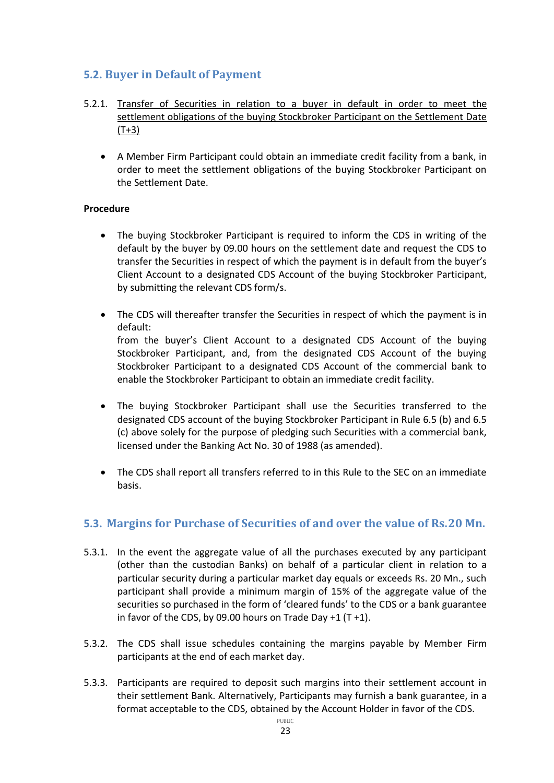# <span id="page-22-0"></span>**5.2. Buyer in Default of Payment**

- 5.2.1. Transfer of Securities in relation to a buyer in default in order to meet the settlement obligations of the buying Stockbroker Participant on the Settlement Date  $(T+3)$ 
	- A Member Firm Participant could obtain an immediate credit facility from a bank, in order to meet the settlement obligations of the buying Stockbroker Participant on the Settlement Date.

### **Procedure**

- The buying Stockbroker Participant is required to inform the CDS in writing of the default by the buyer by 09.00 hours on the settlement date and request the CDS to transfer the Securities in respect of which the payment is in default from the buyer's Client Account to a designated CDS Account of the buying Stockbroker Participant, by submitting the relevant CDS form/s.
- The CDS will thereafter transfer the Securities in respect of which the payment is in default: from the buyer's Client Account to a designated CDS Account of the buying Stockbroker Participant, and, from the designated CDS Account of the buying Stockbroker Participant to a designated CDS Account of the commercial bank to enable the Stockbroker Participant to obtain an immediate credit facility.
- The buying Stockbroker Participant shall use the Securities transferred to the designated CDS account of the buying Stockbroker Participant in Rule 6.5 (b) and 6.5 (c) above solely for the purpose of pledging such Securities with a commercial bank, licensed under the Banking Act No. 30 of 1988 (as amended).
- The CDS shall report all transfers referred to in this Rule to the SEC on an immediate basis.

# <span id="page-22-1"></span>**5.3. Margins for Purchase of Securities of and over the value of Rs.20 Mn.**

- 5.3.1. In the event the aggregate value of all the purchases executed by any participant (other than the custodian Banks) on behalf of a particular client in relation to a particular security during a particular market day equals or exceeds Rs. 20 Mn., such participant shall provide a minimum margin of 15% of the aggregate value of the securities so purchased in the form of 'cleared funds' to the CDS or a bank guarantee in favor of the CDS, by 09.00 hours on Trade Day  $+1$  (T  $+1$ ).
- 5.3.2. The CDS shall issue schedules containing the margins payable by Member Firm participants at the end of each market day.
- 5.3.3. Participants are required to deposit such margins into their settlement account in their settlement Bank. Alternatively, Participants may furnish a bank guarantee, in a format acceptable to the CDS, obtained by the Account Holder in favor of the CDS.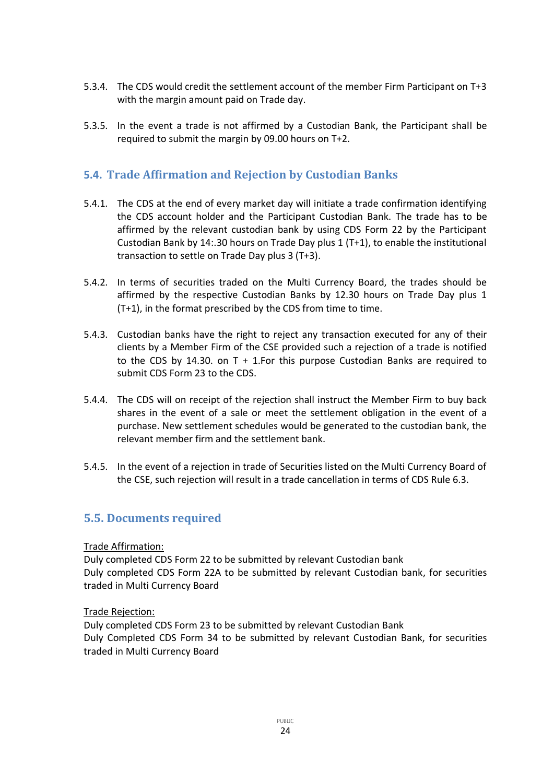- 5.3.4. The CDS would credit the settlement account of the member Firm Participant on T+3 with the margin amount paid on Trade day.
- 5.3.5. In the event a trade is not affirmed by a Custodian Bank, the Participant shall be required to submit the margin by 09.00 hours on T+2.

# <span id="page-23-0"></span>**5.4. Trade Affirmation and Rejection by Custodian Banks**

- 5.4.1. The CDS at the end of every market day will initiate a trade confirmation identifying the CDS account holder and the Participant Custodian Bank. The trade has to be affirmed by the relevant custodian bank by using CDS Form 22 by the Participant Custodian Bank by 14:.30 hours on Trade Day plus 1 (T+1), to enable the institutional transaction to settle on Trade Day plus 3 (T+3).
- 5.4.2. In terms of securities traded on the Multi Currency Board, the trades should be affirmed by the respective Custodian Banks by 12.30 hours on Trade Day plus 1 (T+1), in the format prescribed by the CDS from time to time.
- 5.4.3. Custodian banks have the right to reject any transaction executed for any of their clients by a Member Firm of the CSE provided such a rejection of a trade is notified to the CDS by 14.30. on T + 1.For this purpose Custodian Banks are required to submit CDS Form 23 to the CDS.
- 5.4.4. The CDS will on receipt of the rejection shall instruct the Member Firm to buy back shares in the event of a sale or meet the settlement obligation in the event of a purchase. New settlement schedules would be generated to the custodian bank, the relevant member firm and the settlement bank.
- 5.4.5. In the event of a rejection in trade of Securities listed on the Multi Currency Board of the CSE, such rejection will result in a trade cancellation in terms of CDS Rule 6.3.

# <span id="page-23-1"></span>**5.5. Documents required**

### Trade Affirmation:

Duly completed CDS Form 22 to be submitted by relevant Custodian bank Duly completed CDS Form 22A to be submitted by relevant Custodian bank, for securities traded in Multi Currency Board

### Trade Rejection:

Duly completed CDS Form 23 to be submitted by relevant Custodian Bank Duly Completed CDS Form 34 to be submitted by relevant Custodian Bank, for securities traded in Multi Currency Board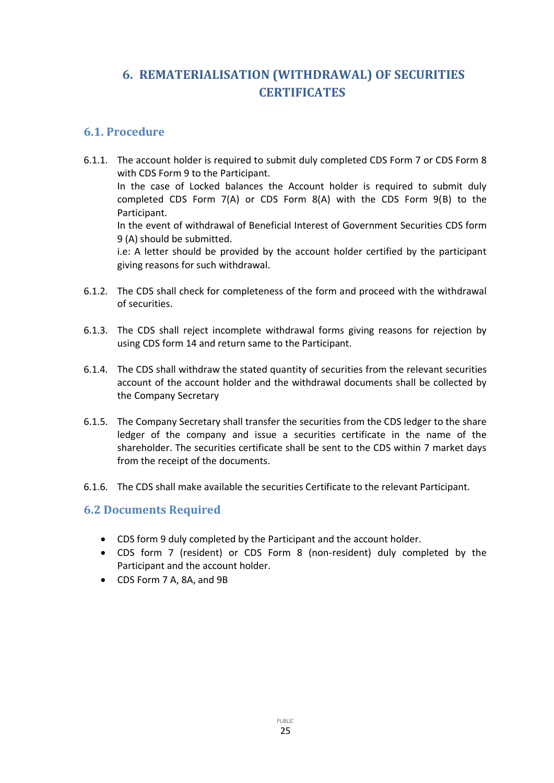# <span id="page-24-0"></span>**6. REMATERIALISATION (WITHDRAWAL) OF SECURITIES CERTIFICATES**

# <span id="page-24-1"></span>**6.1. Procedure**

- 6.1.1. The account holder is required to submit duly completed CDS Form 7 or CDS Form 8 with CDS Form 9 to the Participant. In the case of Locked balances the Account holder is required to submit duly completed CDS Form 7(A) or CDS Form 8(A) with the CDS Form 9(B) to the Participant. In the event of withdrawal of Beneficial Interest of Government Securities CDS form 9 (A) should be submitted. i.e: A letter should be provided by the account holder certified by the participant giving reasons for such withdrawal.
- 6.1.2. The CDS shall check for completeness of the form and proceed with the withdrawal of securities.
- 6.1.3. The CDS shall reject incomplete withdrawal forms giving reasons for rejection by using CDS form 14 and return same to the Participant.
- 6.1.4. The CDS shall withdraw the stated quantity of securities from the relevant securities account of the account holder and the withdrawal documents shall be collected by the Company Secretary
- 6.1.5. The Company Secretary shall transfer the securities from the CDS ledger to the share ledger of the company and issue a securities certificate in the name of the shareholder. The securities certificate shall be sent to the CDS within 7 market days from the receipt of the documents.
- 6.1.6. The CDS shall make available the securities Certificate to the relevant Participant.

### <span id="page-24-2"></span>**6.2 Documents Required**

- CDS form 9 duly completed by the Participant and the account holder.
- CDS form 7 (resident) or CDS Form 8 (non-resident) duly completed by the Participant and the account holder.
- CDS Form 7 A, 8A, and 9B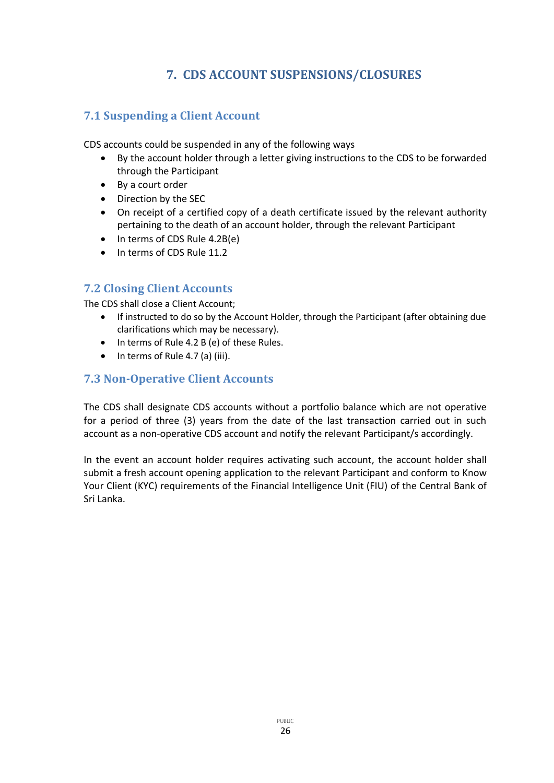# **7. CDS ACCOUNT SUSPENSIONS/CLOSURES**

# <span id="page-25-1"></span><span id="page-25-0"></span>**7.1 Suspending a Client Account**

CDS accounts could be suspended in any of the following ways

- By the account holder through a letter giving instructions to the CDS to be forwarded through the Participant
- By a court order
- Direction by the SEC
- On receipt of a certified copy of a death certificate issued by the relevant authority pertaining to the death of an account holder, through the relevant Participant
- In terms of CDS Rule 4.2B(e)
- In terms of CDS Rule 11.2

# <span id="page-25-2"></span>**7.2 Closing Client Accounts**

The CDS shall close a Client Account;

- If instructed to do so by the Account Holder, through the Participant (after obtaining due clarifications which may be necessary).
- In terms of Rule 4.2 B (e) of these Rules.
- $\bullet$  In terms of Rule 4.7 (a) (iii).

# <span id="page-25-3"></span>**7.3 Non-Operative Client Accounts**

The CDS shall designate CDS accounts without a portfolio balance which are not operative for a period of three (3) years from the date of the last transaction carried out in such account as a non-operative CDS account and notify the relevant Participant/s accordingly.

In the event an account holder requires activating such account, the account holder shall submit a fresh account opening application to the relevant Participant and conform to Know Your Client (KYC) requirements of the Financial Intelligence Unit (FIU) of the Central Bank of Sri Lanka.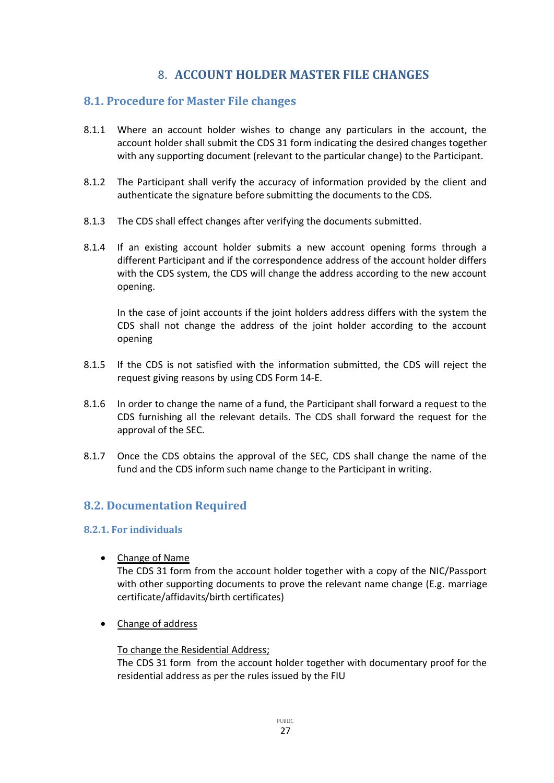# 8. **ACCOUNT HOLDER MASTER FILE CHANGES**

### <span id="page-26-1"></span><span id="page-26-0"></span>**8.1. Procedure for Master File changes**

- 8.1.1 Where an account holder wishes to change any particulars in the account, the account holder shall submit the CDS 31 form indicating the desired changes together with any supporting document (relevant to the particular change) to the Participant.
- 8.1.2 The Participant shall verify the accuracy of information provided by the client and authenticate the signature before submitting the documents to the CDS.
- 8.1.3 The CDS shall effect changes after verifying the documents submitted.
- 8.1.4 If an existing account holder submits a new account opening forms through a different Participant and if the correspondence address of the account holder differs with the CDS system, the CDS will change the address according to the new account opening.

In the case of joint accounts if the joint holders address differs with the system the CDS shall not change the address of the joint holder according to the account opening

- 8.1.5 If the CDS is not satisfied with the information submitted, the CDS will reject the request giving reasons by using CDS Form 14-E.
- 8.1.6 In order to change the name of a fund, the Participant shall forward a request to the CDS furnishing all the relevant details. The CDS shall forward the request for the approval of the SEC.
- 8.1.7 Once the CDS obtains the approval of the SEC, CDS shall change the name of the fund and the CDS inform such name change to the Participant in writing.

# <span id="page-26-2"></span>**8.2. Documentation Required**

### <span id="page-26-3"></span>**8.2.1. For individuals**

• Change of Name

The CDS 31 form from the account holder together with a copy of the NIC/Passport with other supporting documents to prove the relevant name change (E.g. marriage certificate/affidavits/birth certificates)

• Change of address

### To change the Residential Address;

The CDS 31 form from the account holder together with documentary proof for the residential address as per the rules issued by the FIU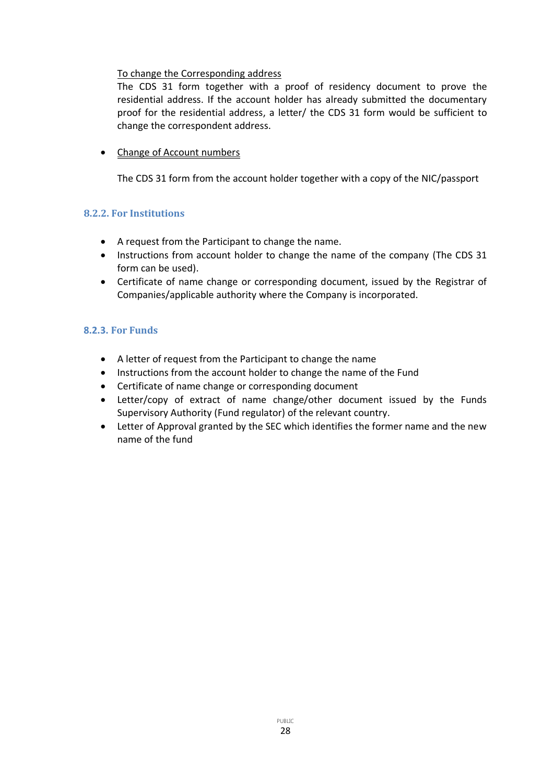### To change the Corresponding address

The CDS 31 form together with a proof of residency document to prove the residential address. If the account holder has already submitted the documentary proof for the residential address, a letter/ the CDS 31 form would be sufficient to change the correspondent address.

• Change of Account numbers

The CDS 31 form from the account holder together with a copy of the NIC/passport

### <span id="page-27-0"></span>**8.2.2. For Institutions**

- A request from the Participant to change the name.
- Instructions from account holder to change the name of the company (The CDS 31 form can be used).
- Certificate of name change or corresponding document, issued by the Registrar of Companies/applicable authority where the Company is incorporated.

### <span id="page-27-1"></span>**8.2.3. For Funds**

- A letter of request from the Participant to change the name
- Instructions from the account holder to change the name of the Fund
- Certificate of name change or corresponding document
- Letter/copy of extract of name change/other document issued by the Funds Supervisory Authority (Fund regulator) of the relevant country.
- Letter of Approval granted by the SEC which identifies the former name and the new name of the fund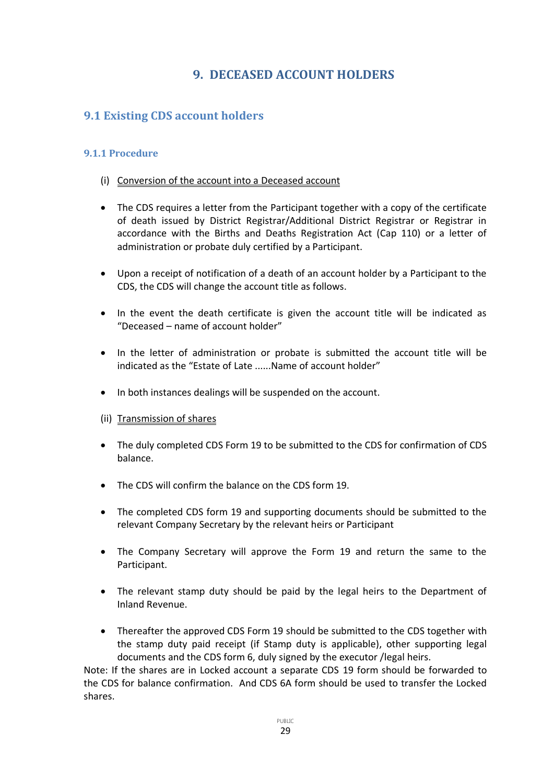# **9. DECEASED ACCOUNT HOLDERS**

# <span id="page-28-1"></span><span id="page-28-0"></span>**9.1 Existing CDS account holders**

### <span id="page-28-2"></span>**9.1.1 Procedure**

- (i) Conversion of the account into a Deceased account
- The CDS requires a letter from the Participant together with a copy of the certificate of death issued by District Registrar/Additional District Registrar or Registrar in accordance with the Births and Deaths Registration Act (Cap 110) or a letter of administration or probate duly certified by a Participant.
- Upon a receipt of notification of a death of an account holder by a Participant to the CDS, the CDS will change the account title as follows.
- In the event the death certificate is given the account title will be indicated as "Deceased – name of account holder"
- In the letter of administration or probate is submitted the account title will be indicated as the "Estate of Late ......Name of account holder"
- In both instances dealings will be suspended on the account.
- (ii) Transmission of shares
- The duly completed CDS Form 19 to be submitted to the CDS for confirmation of CDS balance.
- The CDS will confirm the balance on the CDS form 19.
- The completed CDS form 19 and supporting documents should be submitted to the relevant Company Secretary by the relevant heirs or Participant
- The Company Secretary will approve the Form 19 and return the same to the Participant.
- The relevant stamp duty should be paid by the legal heirs to the Department of Inland Revenue.
- Thereafter the approved CDS Form 19 should be submitted to the CDS together with the stamp duty paid receipt (if Stamp duty is applicable), other supporting legal documents and the CDS form 6, duly signed by the executor /legal heirs.

Note: If the shares are in Locked account a separate CDS 19 form should be forwarded to the CDS for balance confirmation. And CDS 6A form should be used to transfer the Locked shares.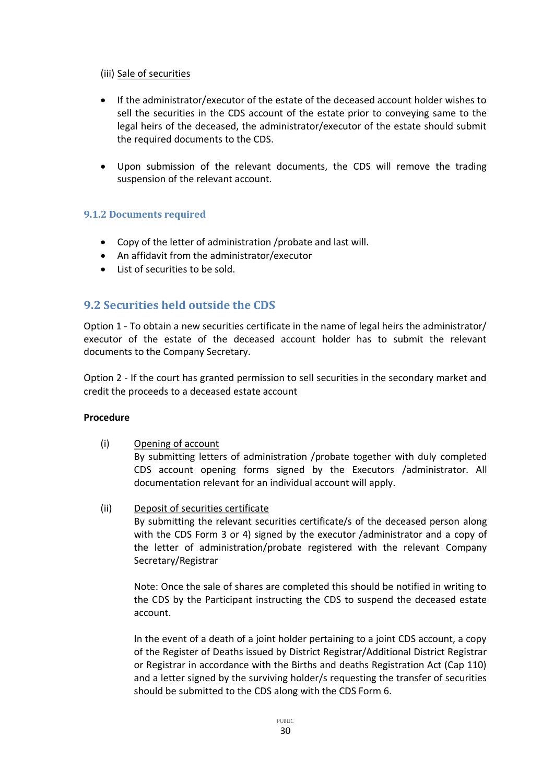#### (iii) Sale of securities

- If the administrator/executor of the estate of the deceased account holder wishes to sell the securities in the CDS account of the estate prior to conveying same to the legal heirs of the deceased, the administrator/executor of the estate should submit the required documents to the CDS.
- Upon submission of the relevant documents, the CDS will remove the trading suspension of the relevant account.

### <span id="page-29-0"></span>**9.1.2 Documents required**

- Copy of the letter of administration /probate and last will.
- An affidavit from the administrator/executor
- List of securities to be sold.

# <span id="page-29-1"></span>**9.2 Securities held outside the CDS**

Option 1 - To obtain a new securities certificate in the name of legal heirs the administrator/ executor of the estate of the deceased account holder has to submit the relevant documents to the Company Secretary.

Option 2 - If the court has granted permission to sell securities in the secondary market and credit the proceeds to a deceased estate account

### **Procedure**

(i) Opening of account

By submitting letters of administration /probate together with duly completed CDS account opening forms signed by the Executors /administrator. All documentation relevant for an individual account will apply.

(ii) Deposit of securities certificate

By submitting the relevant securities certificate/s of the deceased person along with the CDS Form 3 or 4) signed by the executor /administrator and a copy of the letter of administration/probate registered with the relevant Company Secretary/Registrar

Note: Once the sale of shares are completed this should be notified in writing to the CDS by the Participant instructing the CDS to suspend the deceased estate account.

In the event of a death of a joint holder pertaining to a joint CDS account, a copy of the Register of Deaths issued by District Registrar/Additional District Registrar or Registrar in accordance with the Births and deaths Registration Act (Cap 110) and a letter signed by the surviving holder/s requesting the transfer of securities should be submitted to the CDS along with the CDS Form 6.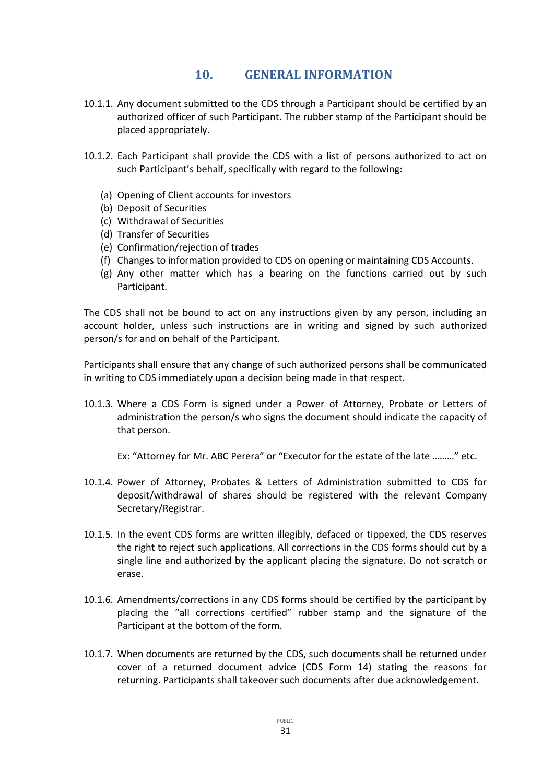# **10. GENERAL INFORMATION**

- <span id="page-30-0"></span>10.1.1. Any document submitted to the CDS through a Participant should be certified by an authorized officer of such Participant. The rubber stamp of the Participant should be placed appropriately.
- 10.1.2. Each Participant shall provide the CDS with a list of persons authorized to act on such Participant's behalf, specifically with regard to the following:
	- (a) Opening of Client accounts for investors
	- (b) Deposit of Securities
	- (c) Withdrawal of Securities
	- (d) Transfer of Securities
	- (e) Confirmation/rejection of trades
	- (f) Changes to information provided to CDS on opening or maintaining CDS Accounts.
	- (g) Any other matter which has a bearing on the functions carried out by such Participant.

The CDS shall not be bound to act on any instructions given by any person, including an account holder, unless such instructions are in writing and signed by such authorized person/s for and on behalf of the Participant.

Participants shall ensure that any change of such authorized persons shall be communicated in writing to CDS immediately upon a decision being made in that respect.

10.1.3. Where a CDS Form is signed under a Power of Attorney, Probate or Letters of administration the person/s who signs the document should indicate the capacity of that person.

Ex: "Attorney for Mr. ABC Perera" or "Executor for the estate of the late ………" etc.

- 10.1.4. Power of Attorney, Probates & Letters of Administration submitted to CDS for deposit/withdrawal of shares should be registered with the relevant Company Secretary/Registrar.
- 10.1.5. In the event CDS forms are written illegibly, defaced or tippexed, the CDS reserves the right to reject such applications. All corrections in the CDS forms should cut by a single line and authorized by the applicant placing the signature. Do not scratch or erase.
- 10.1.6. Amendments/corrections in any CDS forms should be certified by the participant by placing the "all corrections certified" rubber stamp and the signature of the Participant at the bottom of the form.
- 10.1.7. When documents are returned by the CDS, such documents shall be returned under cover of a returned document advice (CDS Form 14) stating the reasons for returning. Participants shall takeover such documents after due acknowledgement.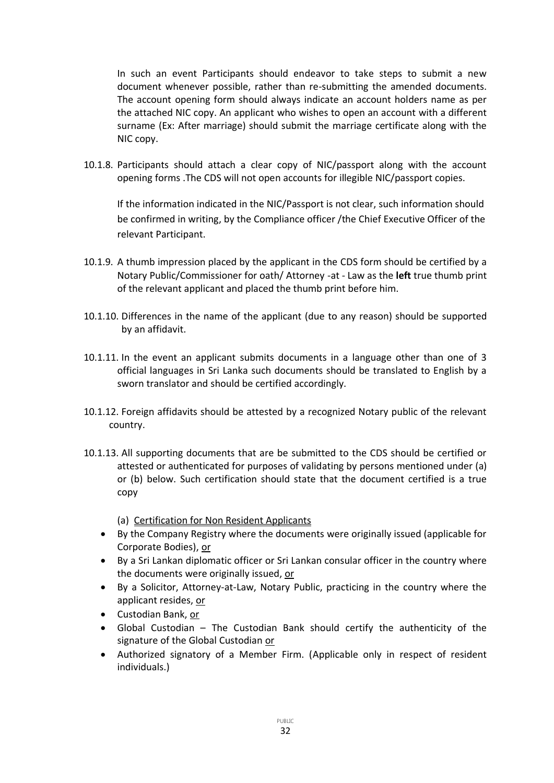In such an event Participants should endeavor to take steps to submit a new document whenever possible, rather than re-submitting the amended documents. The account opening form should always indicate an account holders name as per the attached NIC copy. An applicant who wishes to open an account with a different surname (Ex: After marriage) should submit the marriage certificate along with the NIC copy.

10.1.8. Participants should attach a clear copy of NIC/passport along with the account opening forms .The CDS will not open accounts for illegible NIC/passport copies.

If the information indicated in the NIC/Passport is not clear, such information should be confirmed in writing, by the Compliance officer /the Chief Executive Officer of the relevant Participant.

- 10.1.9. A thumb impression placed by the applicant in the CDS form should be certified by a Notary Public/Commissioner for oath/ Attorney -at - Law as the **left** true thumb print of the relevant applicant and placed the thumb print before him.
- 10.1.10. Differences in the name of the applicant (due to any reason) should be supported by an affidavit.
- 10.1.11. In the event an applicant submits documents in a language other than one of 3 official languages in Sri Lanka such documents should be translated to English by a sworn translator and should be certified accordingly.
- 10.1.12. Foreign affidavits should be attested by a recognized Notary public of the relevant country.
- 10.1.13. All supporting documents that are be submitted to the CDS should be certified or attested or authenticated for purposes of validating by persons mentioned under (a) or (b) below. Such certification should state that the document certified is a true copy
	- (a) Certification for Non Resident Applicants
	- By the Company Registry where the documents were originally issued (applicable for Corporate Bodies), or
	- By a Sri Lankan diplomatic officer or Sri Lankan consular officer in the country where the documents were originally issued, or
	- By a Solicitor, Attorney-at-Law, Notary Public, practicing in the country where the applicant resides, or
	- Custodian Bank, or
	- Global Custodian The Custodian Bank should certify the authenticity of the signature of the Global Custodian or
	- Authorized signatory of a Member Firm. (Applicable only in respect of resident individuals.)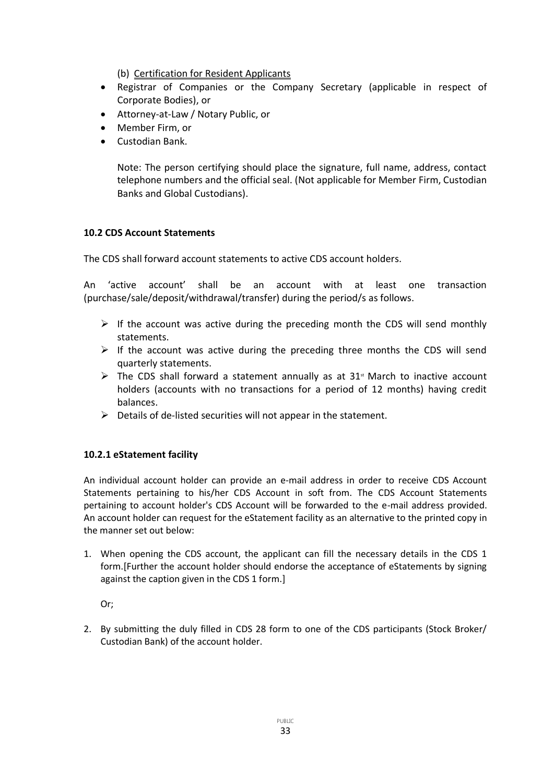(b) Certification for Resident Applicants

- Registrar of Companies or the Company Secretary (applicable in respect of Corporate Bodies), or
- Attorney-at-Law / Notary Public, or
- Member Firm, or
- Custodian Bank.

Note: The person certifying should place the signature, full name, address, contact telephone numbers and the official seal. (Not applicable for Member Firm, Custodian Banks and Global Custodians).

### **10.2 CDS Account Statements**

The CDS shall forward account statements to active CDS account holders.

An 'active account' shall be an account with at least one transaction (purchase/sale/deposit/withdrawal/transfer) during the period/s as follows.

- $\triangleright$  If the account was active during the preceding month the CDS will send monthly statements.
- $\triangleright$  If the account was active during the preceding three months the CDS will send quarterly statements.
- $\triangleright$  The CDS shall forward a statement annually as at 31<sup>st</sup> March to inactive account holders (accounts with no transactions for a period of 12 months) having credit balances.
- $\triangleright$  Details of de-listed securities will not appear in the statement.

### **10.2.1 eStatement facility**

An individual account holder can provide an e-mail address in order to receive CDS Account Statements pertaining to his/her CDS Account in soft from. The CDS Account Statements pertaining to account holder's CDS Account will be forwarded to the e-mail address provided. An account holder can request for the eStatement facility as an alternative to the printed copy in the manner set out below:

1. When opening the CDS account, the applicant can fill the necessary details in the CDS 1 form.[Further the account holder should endorse the acceptance of eStatements by signing against the caption given in the CDS 1 form.]

Or;

2. By submitting the duly filled in CDS 28 form to one of the CDS participants (Stock Broker/ Custodian Bank) of the account holder.